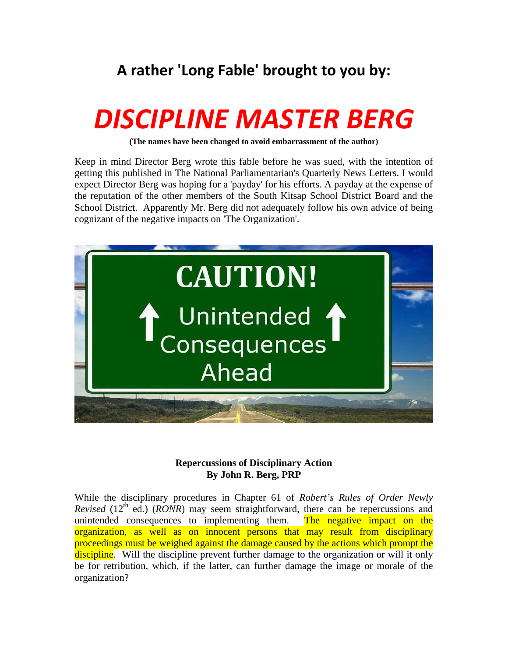## **A rather 'Long Fable' brought to you by:**

## *DISCIPLINE MASTER BERG*

**(The names have been changed to avoid embarrassment of the author)** 

Keep in mind Director Berg wrote this fable before he was sued, with the intention of getting this published in The National Parliamentarian's Quarterly News Letters. I would expect Director Berg was hoping for a 'payday' for his efforts. A payday at the expense of the reputation of the other members of the South Kitsap School District Board and the School District. Apparently Mr. Berg did not adequately follow his own advice of being cognizant of the negative impacts on 'The Organization'.



## **Repercussions of Disciplinary Action By John R. Berg, PRP**

While the disciplinary procedures in Chapter 61 of *Robert's Rules of Order Newly Revised* (12<sup>th</sup> ed.) (*RONR*) may seem straightforward, there can be repercussions and unintended consequences to implementing them. The negative impact on the organization, as well as on innocent persons that may result from disciplinary proceedings must be weighed against the damage caused by the actions which prompt the discipline. Will the discipline prevent further damage to the organization or will it only be for retribution, which, if the latter, can further damage the image or morale of the organization?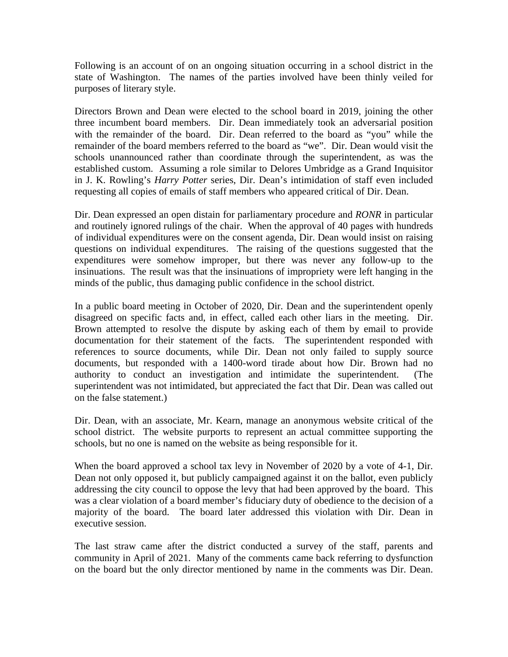Following is an account of on an ongoing situation occurring in a school district in the state of Washington. The names of the parties involved have been thinly veiled for purposes of literary style.

Directors Brown and Dean were elected to the school board in 2019, joining the other three incumbent board members. Dir. Dean immediately took an adversarial position with the remainder of the board. Dir. Dean referred to the board as "you" while the remainder of the board members referred to the board as "we". Dir. Dean would visit the schools unannounced rather than coordinate through the superintendent, as was the established custom. Assuming a role similar to Delores Umbridge as a Grand Inquisitor in J. K. Rowling's *Harry Potter* series, Dir. Dean's intimidation of staff even included requesting all copies of emails of staff members who appeared critical of Dir. Dean.

Dir. Dean expressed an open distain for parliamentary procedure and *RONR* in particular and routinely ignored rulings of the chair. When the approval of 40 pages with hundreds of individual expenditures were on the consent agenda, Dir. Dean would insist on raising questions on individual expenditures. The raising of the questions suggested that the expenditures were somehow improper, but there was never any follow-up to the insinuations. The result was that the insinuations of impropriety were left hanging in the minds of the public, thus damaging public confidence in the school district.

In a public board meeting in October of 2020, Dir. Dean and the superintendent openly disagreed on specific facts and, in effect, called each other liars in the meeting. Dir. Brown attempted to resolve the dispute by asking each of them by email to provide documentation for their statement of the facts. The superintendent responded with references to source documents, while Dir. Dean not only failed to supply source documents, but responded with a 1400-word tirade about how Dir. Brown had no authority to conduct an investigation and intimidate the superintendent. (The superintendent was not intimidated, but appreciated the fact that Dir. Dean was called out on the false statement.)

Dir. Dean, with an associate, Mr. Kearn, manage an anonymous website critical of the school district. The website purports to represent an actual committee supporting the schools, but no one is named on the website as being responsible for it.

When the board approved a school tax levy in November of 2020 by a vote of 4-1, Dir. Dean not only opposed it, but publicly campaigned against it on the ballot, even publicly addressing the city council to oppose the levy that had been approved by the board. This was a clear violation of a board member's fiduciary duty of obedience to the decision of a majority of the board. The board later addressed this violation with Dir. Dean in executive session.

The last straw came after the district conducted a survey of the staff, parents and community in April of 2021. Many of the comments came back referring to dysfunction on the board but the only director mentioned by name in the comments was Dir. Dean.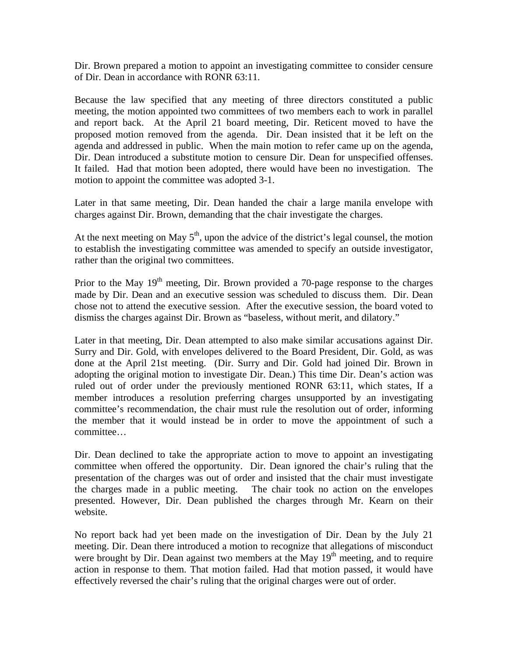Dir. Brown prepared a motion to appoint an investigating committee to consider censure of Dir. Dean in accordance with RONR 63:11.

Because the law specified that any meeting of three directors constituted a public meeting, the motion appointed two committees of two members each to work in parallel and report back. At the April 21 board meeting, Dir. Reticent moved to have the proposed motion removed from the agenda. Dir. Dean insisted that it be left on the agenda and addressed in public. When the main motion to refer came up on the agenda, Dir. Dean introduced a substitute motion to censure Dir. Dean for unspecified offenses. It failed. Had that motion been adopted, there would have been no investigation. The motion to appoint the committee was adopted 3-1.

Later in that same meeting, Dir. Dean handed the chair a large manila envelope with charges against Dir. Brown, demanding that the chair investigate the charges.

At the next meeting on May  $5<sup>th</sup>$ , upon the advice of the district's legal counsel, the motion to establish the investigating committee was amended to specify an outside investigator, rather than the original two committees.

Prior to the May  $19<sup>th</sup>$  meeting, Dir. Brown provided a 70-page response to the charges made by Dir. Dean and an executive session was scheduled to discuss them. Dir. Dean chose not to attend the executive session. After the executive session, the board voted to dismiss the charges against Dir. Brown as "baseless, without merit, and dilatory."

Later in that meeting, Dir. Dean attempted to also make similar accusations against Dir. Surry and Dir. Gold, with envelopes delivered to the Board President, Dir. Gold, as was done at the April 21st meeting. (Dir. Surry and Dir. Gold had joined Dir. Brown in adopting the original motion to investigate Dir. Dean.) This time Dir. Dean's action was ruled out of order under the previously mentioned RONR 63:11, which states, If a member introduces a resolution preferring charges unsupported by an investigating committee's recommendation, the chair must rule the resolution out of order, informing the member that it would instead be in order to move the appointment of such a committee…

Dir. Dean declined to take the appropriate action to move to appoint an investigating committee when offered the opportunity. Dir. Dean ignored the chair's ruling that the presentation of the charges was out of order and insisted that the chair must investigate the charges made in a public meeting. The chair took no action on the envelopes presented. However, Dir. Dean published the charges through Mr. Kearn on their website.

No report back had yet been made on the investigation of Dir. Dean by the July 21 meeting. Dir. Dean there introduced a motion to recognize that allegations of misconduct were brought by Dir. Dean against two members at the May 19<sup>th</sup> meeting, and to require action in response to them. That motion failed. Had that motion passed, it would have effectively reversed the chair's ruling that the original charges were out of order.